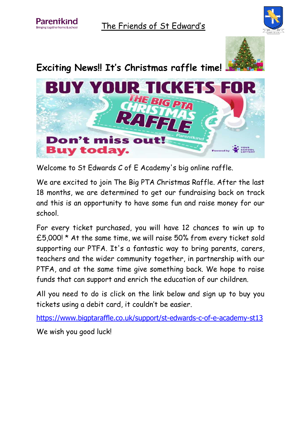

The Friends of St Edward's



## **Exciting News!! It's Christmas raffle time!**



Welcome to St Edwards C of E Academy's big online raffle.

We are excited to join The Big PTA Christmas Raffle. After the last 18 months, we are determined to get our fundraising back on track and this is an opportunity to have some fun and raise money for our school.

For every ticket purchased, you will have 12 chances to win up to £5,000! \* At the same time, we will raise 50% from every ticket sold supporting our PTFA. It's a fantastic way to bring parents, carers, teachers and the wider community together, in partnership with our PTFA, and at the same time give something back. We hope to raise funds that can support and enrich the education of our children.

All you need to do is click on the link below and sign up to buy you tickets using a debit card, it couldn't be easier.

<https://www.bigptaraffle.co.uk/support/st-edwards-c-of-e-academy-st13> We wish you good luck!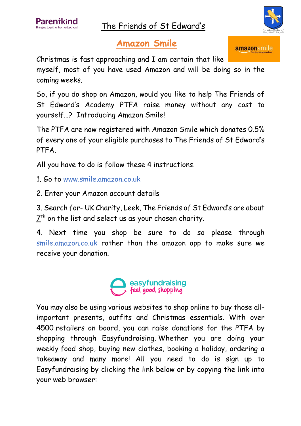The Friends of St Edward's



amazonsmile

## **Amazon Smile**

Christmas is fast approaching and I am certain that like

myself, most of you have used Amazon and will be doing so in the coming weeks.

So, if you do shop on Amazon, would you like to help The Friends of St Edward's Academy PTFA raise money without any cost to yourself…? Introducing Amazon Smile!

The PTFA are now registered with Amazon Smile which donates 0.5% of every one of your eligible purchases to The Friends of St Edward's PTFA.

All you have to do is follow these 4 instructions.

1. Go to www.smile.amazon.co.uk

2. Enter your Amazon account details

3. Search for- UK Charity, Leek, The Friends of St Edward's are about  $\mathsf{Z}^\mathsf{th}$  on the list and select us as your chosen charity.

4. Next time you shop be sure to do so please through smile.amazon.co.uk rather than the amazon app to make sure we receive your donation.



You may also be using various websites to shop online to buy those allimportant presents, outfits and Christmas essentials. With over 4500 retailers on board, you can raise donations for the PTFA by shopping through Easyfundraising. Whether you are doing your weekly food shop, buying new clothes, booking a holiday, ordering a takeaway and many more! All you need to do is sign up to Easyfundraising by clicking the link below or by copying the link into your web browser: